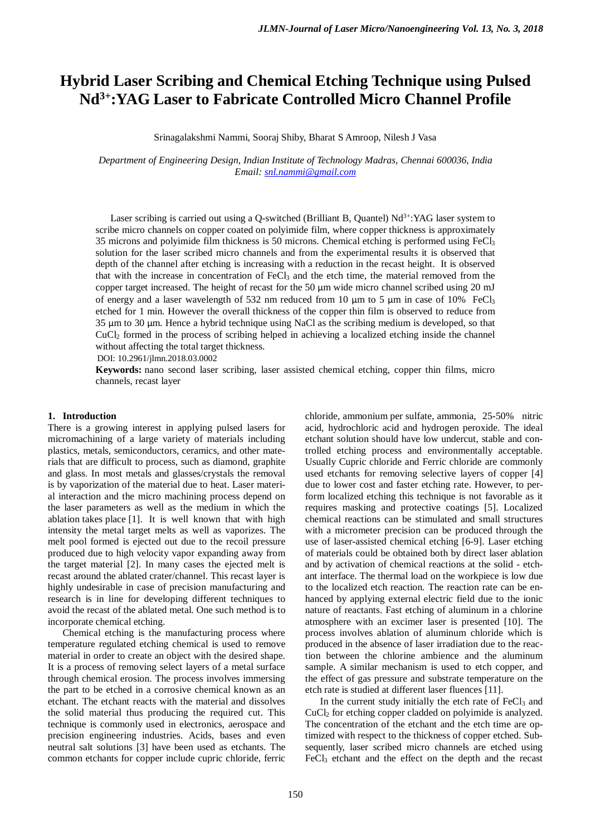# **Hybrid Laser Scribing and Chemical Etching Technique using Pulsed Nd3+:YAG Laser to Fabricate Controlled Micro Channel Profile**

Srinagalakshmi Nammi, Sooraj Shiby, Bharat S Amroop, Nilesh J Vasa

*Department of Engineering Design, Indian Institute of Technology Madras, Chennai 600036, India Email: [snl.nammi@gmail.com](mailto:snl.nammi@gmail.com)*

Laser scribing is carried out using a Q-switched (Brilliant B, Quantel)  $Nd<sup>3+</sup>:YAG$  laser system to scribe micro channels on copper coated on polyimide film, where copper thickness is approximately 35 microns and polyimide film thickness is 50 microns. Chemical etching is performed using FeCl3 solution for the laser scribed micro channels and from the experimental results it is observed that depth of the channel after etching is increasing with a reduction in the recast height. It is observed that with the increase in concentration of FeCl3 and the etch time, the material removed from the copper target increased. The height of recast for the 50 μm wide micro channel scribed using 20 mJ of energy and a laser wavelength of 532 nm reduced from 10  $\mu$ m to 5  $\mu$ m in case of 10% FeCl<sub>3</sub> etched for 1 min. However the overall thickness of the copper thin film is observed to reduce from 35 μm to 30 μm. Hence a hybrid technique using NaCl as the scribing medium is developed, so that CuCl2 formed in the process of scribing helped in achieving a localized etching inside the channel without affecting the total target thickness.

DOI: 10.2961/jlmn.2018.03.0002

**Keywords:** nano second laser scribing, laser assisted chemical etching, copper thin films, micro channels, recast layer

#### **1. Introduction**

There is a growing interest in applying pulsed lasers for micromachining of a large variety of materials including plastics, metals, semiconductors, ceramics, and other materials that are difficult to process, such as diamond, graphite and glass. In most metals and glasses/crystals the removal is by vaporization of the material due to heat. Laser material interaction and the micro machining process depend on the laser parameters as well as the medium in which the ablation takes place [1]. It is well known that with high intensity the metal target melts as well as vaporizes. The melt pool formed is ejected out due to the recoil pressure produced due to high velocity vapor expanding away from the target material [2]. In many cases the ejected melt is recast around the ablated crater/channel. This recast layer is highly undesirable in case of precision manufacturing and research is in line for developing different techniques to avoid the recast of the ablated metal. One such method is to incorporate chemical etching.

Chemical etching is the manufacturing process where temperature regulated etching chemical is used to remove material in order to create an object with the desired shape. It is a process of removing select layers of a metal surface through chemical erosion. The process involves immersing the part to be etched in a corrosive chemical known as an etchant. The etchant reacts with the material and dissolves the solid material thus producing the required cut. This technique is commonly used in electronics, aerospace and precision engineering industries. Acids, bases and even neutral salt solutions [3] have been used as etchants. The common etchants for copper include cupric chloride, ferric

chloride, ammonium per sulfate, ammonia, 25-50% nitric acid, hydrochloric acid and hydrogen peroxide. The ideal etchant solution should have low undercut, stable and controlled etching process and environmentally acceptable. Usually Cupric chloride and Ferric chloride are commonly used etchants for removing selective layers of copper [4] due to lower cost and faster etching rate. However, to perform localized etching this technique is not favorable as it requires masking and protective coatings [5]. Localized chemical reactions can be stimulated and small structures with a micrometer precision can be produced through the use of laser-assisted chemical etching [6-9]. Laser etching of materials could be obtained both by direct laser ablation and by activation of chemical reactions at the solid - etchant interface. The thermal load on the workpiece is low due to the localized etch reaction. The reaction rate can be enhanced by applying external electric field due to the ionic nature of reactants. Fast etching of aluminum in a chlorine atmosphere with an excimer laser is presented [10]. The process involves ablation of aluminum chloride which is produced in the absence of laser irradiation due to the reaction between the chlorine ambience and the aluminum sample. A similar mechanism is used to etch copper, and the effect of gas pressure and substrate temperature on the etch rate is studied at different laser fluences [11].

In the current study initially the etch rate of  $FeCl<sub>3</sub>$  and CuCl2 for etching copper cladded on polyimide is analyzed. The concentration of the etchant and the etch time are optimized with respect to the thickness of copper etched. Subsequently, laser scribed micro channels are etched using FeCl<sub>3</sub> etchant and the effect on the depth and the recast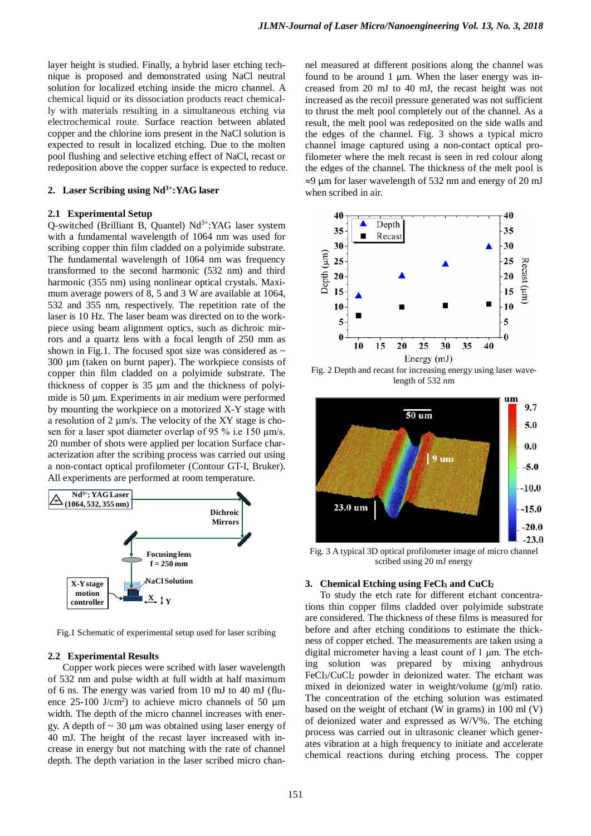layer height is studied. Finally, a hybrid laser etching technique is proposed and demonstrated using NaCl neutral solution for localized etching inside the micro channel. A chemical liquid or its dissociation products react chemically with materials resulting in a simultaneous etching via electrochemical route. Surface reaction between ablated copper and the chlorine ions present in the NaCl solution is expected to result in localized etching. Due to the molten pool flushing and selective etching effect of NaCl, recast or redeposition above the copper surface is expected to reduce.

## 2. Laser Scribing using Nd<sup>3+</sup>:YAG laser

#### **2.1 Experimental Setup**

 $Q$ -switched (Brilliant B, Quantel)  $Nd^{3+}$ :YAG laser system with a fundamental wavelength of 1064 nm was used for scribing copper thin film cladded on a polyimide substrate. The fundamental wavelength of 1064 nm was frequency transformed to the second harmonic (532 nm) and third harmonic (355 nm) using nonlinear optical crystals. Maximum average powers of 8, 5 and 3 W are available at 1064, 532 and 355 nm, respectively. The repetition rate of the laser is 10 Hz. The laser beam was directed on to the workpiece using beam alignment optics, such as dichroic mirrors and a quartz lens with a focal length of 250 mm as shown in Fig.1. The focused spot size was considered as  $\sim$ 300 µm (taken on burnt paper). The workpiece consists of copper thin film cladded on a polyimide substrate. The thickness of copper is 35 μm and the thickness of polyimide is 50 μm. Experiments in air medium were performed by mounting the workpiece on a motorized X-Y stage with a resolution of  $2 \mu m/s$ . The velocity of the XY stage is chosen for a laser spot diameter overlap of 95 % i.e 150 μm/s. 20 number of shots were applied per location Surface characterization after the scribing process was carried out using a non-contact optical profilometer (Contour GT-I, Bruker). All experiments are performed at room temperature.



Fig.1 Schematic of experimental setup used for laser scribing

#### **2.2 Experimental Results**

Copper work pieces were scribed with laser wavelength of 532 nm and pulse width at full width at half maximum of 6 ns. The energy was varied from 10 mJ to 40 mJ (fluence  $25-100$  J/cm<sup>2</sup>) to achieve micro channels of 50  $\mu$ m width. The depth of the micro channel increases with energy. A depth of  $\sim$  30  $\mu$ m was obtained using laser energy of 40 mJ. The height of the recast layer increased with increase in energy but not matching with the rate of channel depth. The depth variation in the laser scribed micro channel measured at different positions along the channel was found to be around 1  $\mu$ m. When the laser energy was increased from 20 mJ to 40 mJ, the recast height was not increased as the recoil pressure generated was not sufficient to thrust the melt pool completely out of the channel. As a result, the melt pool was redeposited on the side walls and the edges of the channel. Fig. 3 shows a typical micro channel image captured using a non-contact optical profilometer where the melt recast is seen in red colour along the edges of the channel. The thickness of the melt pool is ≈9 μm for laser wavelength of 532 nm and energy of 20 mJ when scribed in air.



Fig. 2 Depth and recast for increasing energy using laser wavelength of 532 nm



Fig. 3 A typical 3D optical profilometer image of micro channel scribed using 20 mJ energy

# **3. Chemical Etching using FeCl3 and CuCl2**

To study the etch rate for different etchant concentrations thin copper films cladded over polyimide substrate are considered. The thickness of these films is measured for before and after etching conditions to estimate the thickness of copper etched. The measurements are taken using a digital micrometer having a least count of 1 μm. The etching solution was prepared by mixing anhydrous  $FeCl<sub>3</sub>/CuCl<sub>2</sub>$  powder in deionized water. The etchant was mixed in deionized water in weight/volume (g/ml) ratio. The concentration of the etching solution was estimated based on the weight of etchant (W in grams) in 100 ml (V) of deionized water and expressed as W/V%. The etching process was carried out in ultrasonic cleaner which generates vibration at a high frequency to initiate and accelerate chemical reactions during etching process. The copper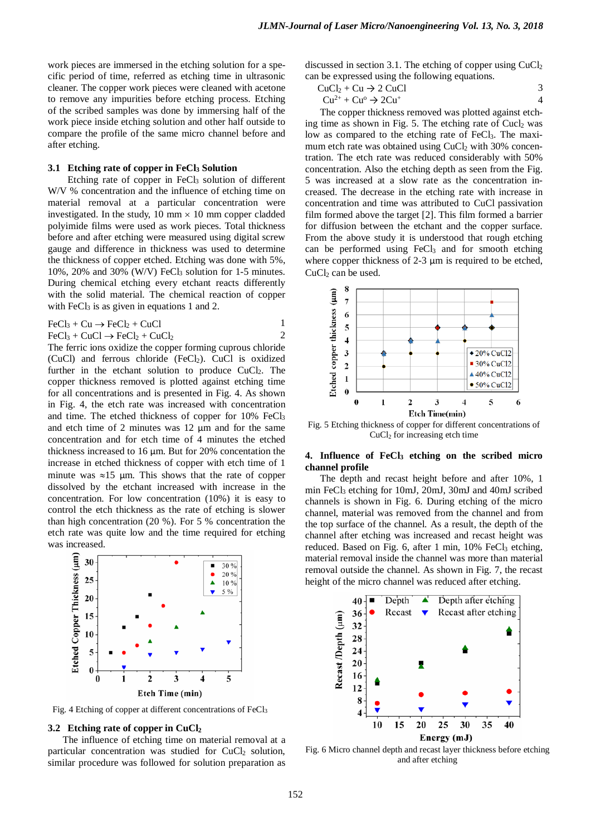work pieces are immersed in the etching solution for a specific period of time, referred as etching time in ultrasonic cleaner. The copper work pieces were cleaned with acetone to remove any impurities before etching process. Etching of the scribed samples was done by immersing half of the work piece inside etching solution and other half outside to compare the profile of the same micro channel before and after etching.

#### **3.1 Etching rate of copper in FeCl3 Solution**

Etching rate of copper in  $FeCl<sub>3</sub>$  solution of different W/V % concentration and the influence of etching time on material removal at a particular concentration were investigated. In the study, 10 mm  $\times$  10 mm copper cladded polyimide films were used as work pieces. Total thickness before and after etching were measured using digital screw gauge and difference in thickness was used to determine the thickness of copper etched. Etching was done with 5%, 10%, 20% and 30% (W/V) FeCl<sub>3</sub> solution for 1-5 minutes. During chemical etching every etchant reacts differently with the solid material. The chemical reaction of copper with  $FeCl<sub>3</sub>$  is as given in equations 1 and 2.

$$
FeCl3 + Cu \rightarrow FeCl2 + CuCl
$$
 1

 $FeCl<sub>3</sub> + CuCl \rightarrow FeCl<sub>2</sub> + CuCl<sub>2</sub>$  2

The ferric ions oxidize the copper forming cuprous chloride (CuCl) and ferrous chloride (FeCl<sub>2</sub>). CuCl is oxidized further in the etchant solution to produce CuCl<sub>2</sub>. The copper thickness removed is plotted against etching time for all concentrations and is presented in Fig. 4. As shown in Fig. 4, the etch rate was increased with concentration and time. The etched thickness of copper for 10% FeCl<sub>3</sub> and etch time of 2 minutes was 12 
$$
\mu
$$
m and for the same concentration and for etch time of 4 minutes the etched thickness increased to 16  $\mu$ m. But for 20% concentration the increase in etched thickness of copper with etch time of 1 minute was  $\approx$ 15  $\mu$ m. This shows that the rate of copper dissolved by the etchant increased with increase in the concentration. For low concentration (10%) it is easy to control the etch thickness as the rate of etching is slower than high concentration (20%). For 5% concentration the etch rate was quite low and the time required for etching was increased.



Fig. 4 Etching of copper at different concentrations of FeCl3

#### **3.2 Etching rate of copper in CuCl2**

The influence of etching time on material removal at a particular concentration was studied for CuCl<sub>2</sub> solution, similar procedure was followed for solution preparation as

discussed in section 3.1. The etching of copper using CuCl2 can be expressed using the following equations.

| $CuCl2 + Cu \rightarrow 2 CuCl$        |  |
|----------------------------------------|--|
| $Cu^{2+} + Cu^{o} \rightarrow 2Cu^{+}$ |  |

The copper thickness removed was plotted against etching time as shown in Fig. 5. The etching rate of Cucl<sub>2</sub> was low as compared to the etching rate of FeCl<sub>3</sub>. The maximum etch rate was obtained using CuCl<sub>2</sub> with 30% concentration. The etch rate was reduced considerably with 50% concentration. Also the etching depth as seen from the Fig. 5 was increased at a slow rate as the concentration increased. The decrease in the etching rate with increase in concentration and time was attributed to CuCl passivation film formed above the target [2]. This film formed a barrier for diffusion between the etchant and the copper surface. From the above study it is understood that rough etching can be performed using FeCl<sub>3</sub> and for smooth etching where copper thickness of 2-3 μm is required to be etched, CuCl<sub>2</sub> can be used.



Fig. 5 Etching thickness of copper for different concentrations of CuCl2 for increasing etch time

## **4. Influence of FeCl3 etching on the scribed micro channel profile**

The depth and recast height before and after 10%, 1 min FeCl3 etching for 10mJ, 20mJ, 30mJ and 40mJ scribed channels is shown in Fig. 6. During etching of the micro channel, material was removed from the channel and from the top surface of the channel. As a result, the depth of the channel after etching was increased and recast height was reduced. Based on Fig. 6, after 1 min, 10% FeCl<sub>3</sub> etching, material removal inside the channel was more than material removal outside the channel. As shown in Fig. 7, the recast height of the micro channel was reduced after etching.



Fig. 6 Micro channel depth and recast layer thickness before etching and after etching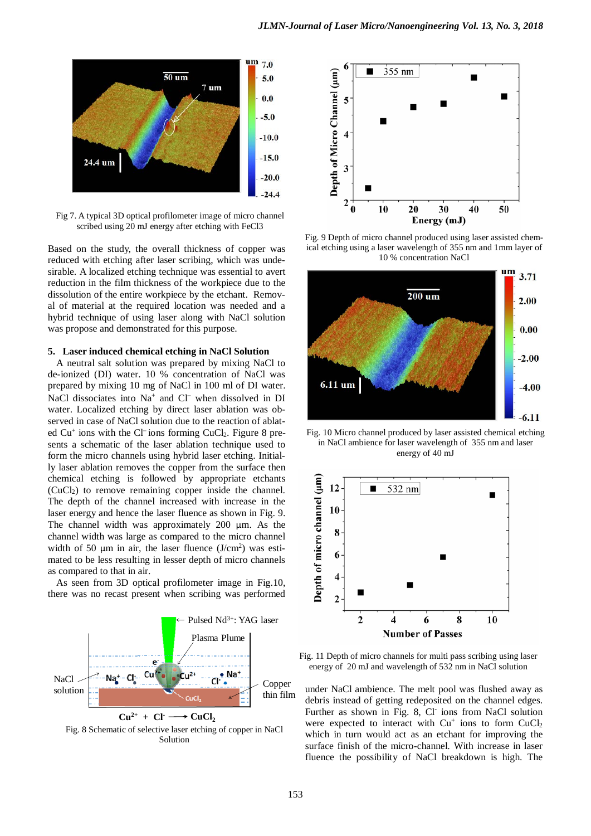

Fig 7. A typical 3D optical profilometer image of micro channel scribed using 20 mJ energy after etching with FeCl3

Based on the study, the overall thickness of copper was reduced with etching after laser scribing, which was undesirable. A localized etching technique was essential to avert reduction in the film thickness of the workpiece due to the dissolution of the entire workpiece by the etchant. Removal of material at the required location was needed and a hybrid technique of using laser along with NaCl solution was propose and demonstrated for this purpose.

## **5. Laser induced chemical etching in NaCl Solution**

A neutral salt solution was prepared by mixing NaCl to de-ionized (DI) water. 10 % concentration of NaCl was prepared by mixing 10 mg of NaCl in 100 ml of DI water. NaCl dissociates into Na<sup>+</sup> and Cl<sup>−</sup> when dissolved in DI water. Localized etching by direct laser ablation was observed in case of NaCl solution due to the reaction of ablated Cu<sup>+</sup> ions with the Cl<sup>−</sup> ions forming CuCl<sub>2</sub>. Figure 8 presents a schematic of the laser ablation technique used to form the micro channels using hybrid laser etching. Initially laser ablation removes the copper from the surface then chemical etching is followed by appropriate etchants  $(CuCl<sub>2</sub>)$  to remove remaining copper inside the channel. The depth of the channel increased with increase in the laser energy and hence the laser fluence as shown in Fig. 9. The channel width was approximately 200 μm. As the channel width was large as compared to the micro channel width of 50  $\mu$ m in air, the laser fluence (J/cm<sup>2</sup>) was estimated to be less resulting in lesser depth of micro channels as compared to that in air.

As seen from 3D optical profilometer image in Fig.10, there was no recast present when scribing was performed







Fig. 9 Depth of micro channel produced using laser assisted chemical etching using a laser wavelength of 355 nm and 1mm layer of 10 % concentration NaCl



Fig. 10 Micro channel produced by laser assisted chemical etching in NaCl ambience for laser wavelength of 355 nm and laser energy of 40 mJ



Fig. 11 Depth of micro channels for multi pass scribing using laser energy of 20 mJ and wavelength of 532 nm in NaCl solution

under NaCl ambience. The melt pool was flushed away as debris instead of getting redeposited on the channel edges. Further as shown in Fig. 8, Cl- ions from NaCl solution were expected to interact with  $Cu<sup>+</sup>$  ions to form  $CuCl<sub>2</sub>$ which in turn would act as an etchant for improving the surface finish of the micro-channel. With increase in laser fluence the possibility of NaCl breakdown is high. The